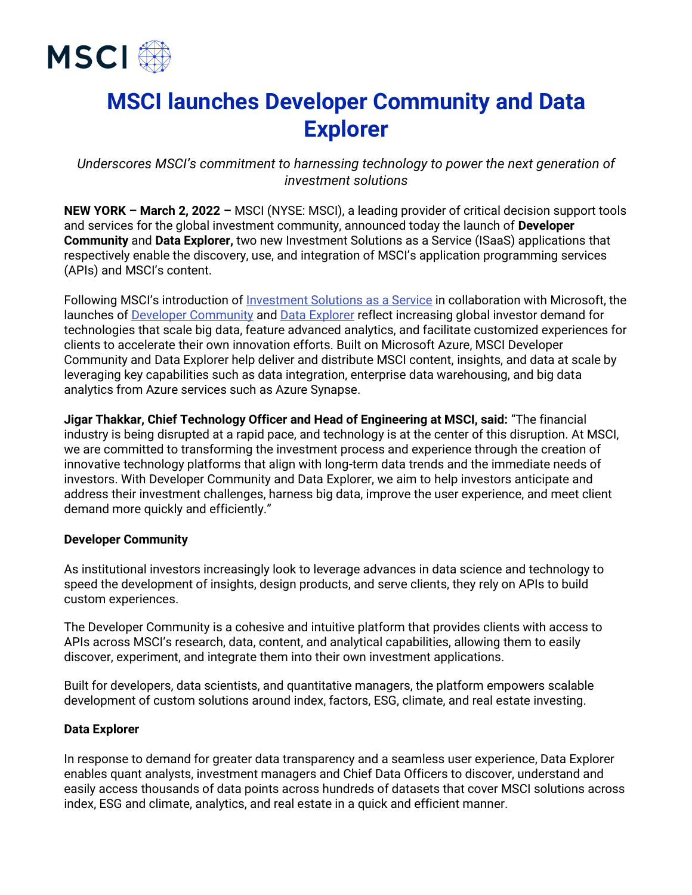

# **MSCI launches Developer Community and Data Explorer**

*Underscores MSCI's commitment to harnessing technology to power the next generation of investment solutions*

**NEW YORK – March 2, 2022 –** MSCI (NYSE: MSCI), a leading provider of critical decision support tools and services for the global investment community, announced today the launch of **Developer Community** and **Data Explorer,** two new Investment Solutions as a Service (ISaaS) applications that respectively enable the discovery, use, and integration of MSCI's application programming services (APIs) and MSCI's content.

Following MSCI's introduction of [Investment Solutions as a Service](https://www.msci.com/documents/10199/73a40b96-4dac-ac9f-63aa-9195f59e63d7) in collaboration with Microsoft, the launches of [Developer Community](https://www.msci.com/technology/developer-community) and [Data Explorer](https://www.msci.com/technology/data-explorer) reflect increasing global investor demand for technologies that scale big data, feature advanced analytics, and facilitate customized experiences for clients to accelerate their own innovation efforts. Built on Microsoft Azure, MSCI Developer Community and Data Explorer help deliver and distribute MSCI content, insights, and data at scale by leveraging key capabilities such as data integration, enterprise data warehousing, and big data analytics from Azure services such as Azure Synapse.

**Jigar Thakkar, Chief Technology Officer and Head of Engineering at MSCI, said:** "The financial industry is being disrupted at a rapid pace, and technology is at the center of this disruption. At MSCI, we are committed to transforming the investment process and experience through the creation of innovative technology platforms that align with long-term data trends and the immediate needs of investors. With Developer Community and Data Explorer, we aim to help investors anticipate and address their investment challenges, harness big data, improve the user experience, and meet client demand more quickly and efficiently."

#### **Developer Community**

As institutional investors increasingly look to leverage advances in data science and technology to speed the development of insights, design products, and serve clients, they rely on APIs to build custom experiences.

The Developer Community is a cohesive and intuitive platform that provides clients with access to APIs across MSCI's research, data, content, and analytical capabilities, allowing them to easily discover, experiment, and integrate them into their own investment applications.

Built for developers, data scientists, and quantitative managers, the platform empowers scalable development of custom solutions around index, factors, ESG, climate, and real estate investing.

#### **Data Explorer**

In response to demand for greater data transparency and a seamless user experience, Data Explorer enables quant analysts, investment managers and Chief Data Officers to discover, understand and easily access thousands of data points across hundreds of datasets that cover MSCI solutions across index, ESG and climate, analytics, and real estate in a quick and efficient manner.